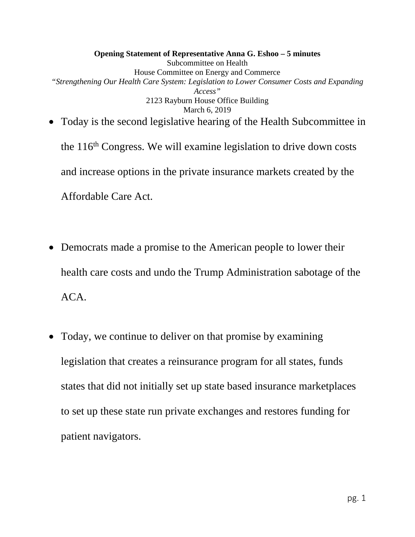**Opening Statement of Representative Anna G. Eshoo – 5 minutes** Subcommittee on Health House Committee on Energy and Commerce *"Strengthening Our Health Care System: Legislation to Lower Consumer Costs and Expanding Access"* 2123 Rayburn House Office Building March 6, 2019 • Today is the second legislative hearing of the Health Subcommittee in

the  $116<sup>th</sup> Congress$ . We will examine legislation to drive down costs and increase options in the private insurance markets created by the Affordable Care Act.

- Democrats made a promise to the American people to lower their health care costs and undo the Trump Administration sabotage of the ACA.
- Today, we continue to deliver on that promise by examining legislation that creates a reinsurance program for all states, funds states that did not initially set up state based insurance marketplaces to set up these state run private exchanges and restores funding for patient navigators.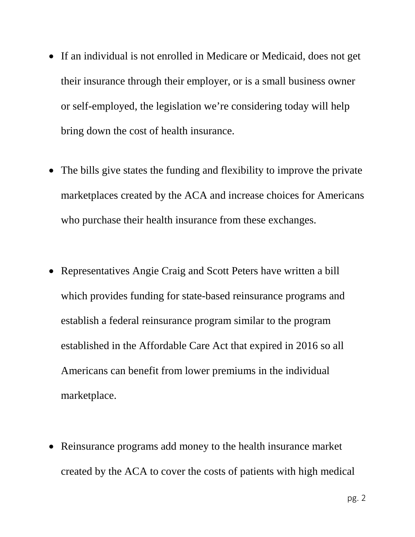- If an individual is not enrolled in Medicare or Medicaid, does not get their insurance through their employer, or is a small business owner or self-employed, the legislation we're considering today will help bring down the cost of health insurance.
- The bills give states the funding and flexibility to improve the private marketplaces created by the ACA and increase choices for Americans who purchase their health insurance from these exchanges.
- Representatives Angie Craig and Scott Peters have written a bill which provides funding for state-based reinsurance programs and establish a federal reinsurance program similar to the program established in the Affordable Care Act that expired in 2016 so all Americans can benefit from lower premiums in the individual marketplace.
- Reinsurance programs add money to the health insurance market created by the ACA to cover the costs of patients with high medical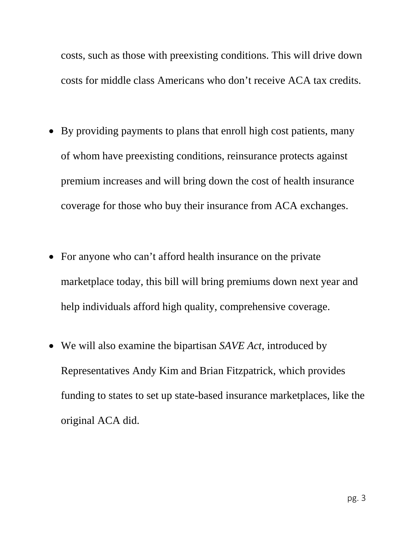costs, such as those with preexisting conditions. This will drive down costs for middle class Americans who don't receive ACA tax credits.

- By providing payments to plans that enroll high cost patients, many of whom have preexisting conditions, reinsurance protects against premium increases and will bring down the cost of health insurance coverage for those who buy their insurance from ACA exchanges.
- For anyone who can't afford health insurance on the private marketplace today, this bill will bring premiums down next year and help individuals afford high quality, comprehensive coverage.
- We will also examine the bipartisan *SAVE Act*, introduced by Representatives Andy Kim and Brian Fitzpatrick, which provides funding to states to set up state-based insurance marketplaces, like the original ACA did.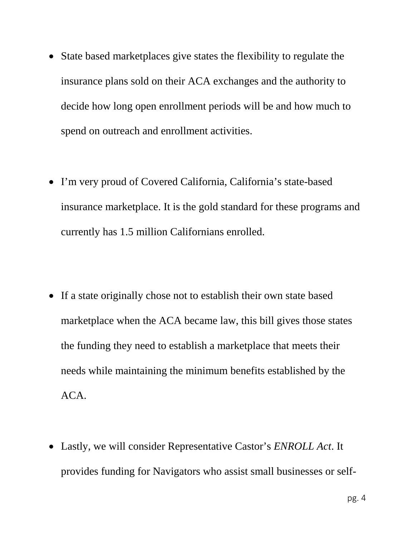- State based marketplaces give states the flexibility to regulate the insurance plans sold on their ACA exchanges and the authority to decide how long open enrollment periods will be and how much to spend on outreach and enrollment activities.
- I'm very proud of Covered California, California's state-based insurance marketplace. It is the gold standard for these programs and currently has 1.5 million Californians enrolled.
- If a state originally chose not to establish their own state based marketplace when the ACA became law, this bill gives those states the funding they need to establish a marketplace that meets their needs while maintaining the minimum benefits established by the ACA.
- Lastly, we will consider Representative Castor's *ENROLL Act*. It provides funding for Navigators who assist small businesses or self-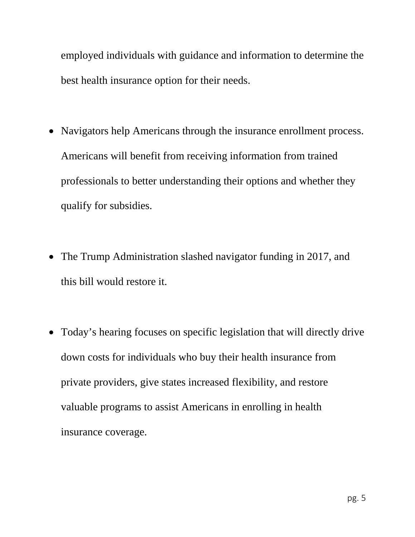employed individuals with guidance and information to determine the best health insurance option for their needs.

- Navigators help Americans through the insurance enrollment process. Americans will benefit from receiving information from trained professionals to better understanding their options and whether they qualify for subsidies.
- The Trump Administration slashed navigator funding in 2017, and this bill would restore it.
- Today's hearing focuses on specific legislation that will directly drive down costs for individuals who buy their health insurance from private providers, give states increased flexibility, and restore valuable programs to assist Americans in enrolling in health insurance coverage.